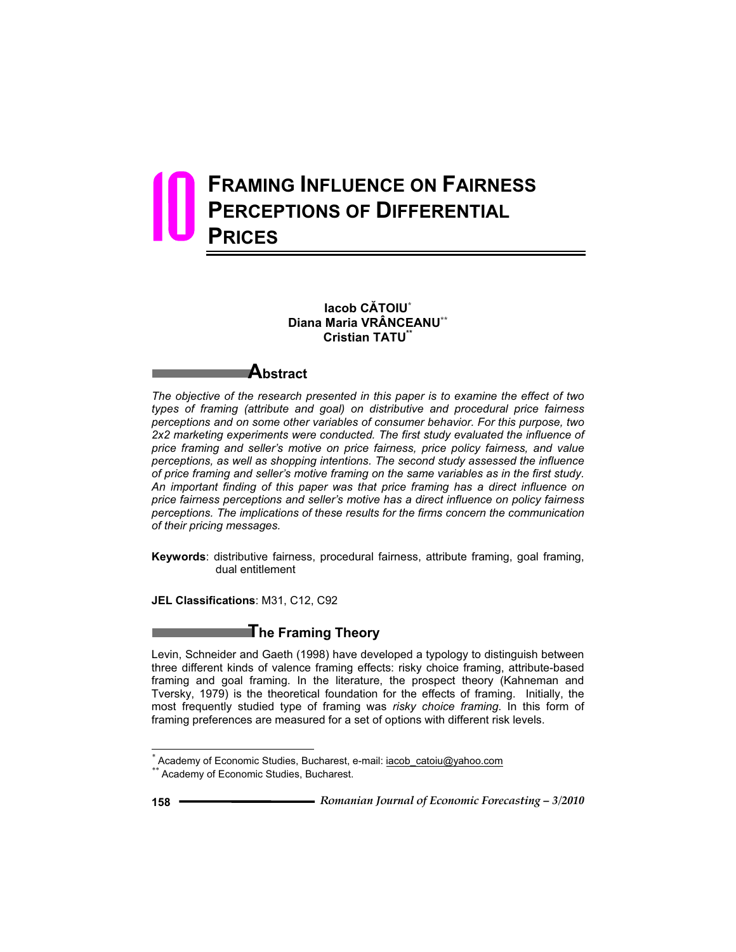# **FRAMING INFLUENCE ON FAIRNESS PERCEPTIONS OF DIFFERENTIAL PRICES** 10

**Iacob CĂTOIU\* Diana Maria VRÂNCEANU\*\* Cristian TATU\*\***

# **Abstract**

*The objective of the research presented in this paper is to examine the effect of two types of framing (attribute and goal) on distributive and procedural price fairness perceptions and on some other variables of consumer behavior. For this purpose, two 2x2 marketing experiments were conducted. The first study evaluated the influence of price framing and seller's motive on price fairness, price policy fairness, and value perceptions, as well as shopping intentions. The second study assessed the influence of price framing and seller's motive framing on the same variables as in the first study. An important finding of this paper was that price framing has a direct influence on price fairness perceptions and seller's motive has a direct influence on policy fairness perceptions. The implications of these results for the firms concern the communication of their pricing messages.* 

**Keywords**: distributive fairness, procedural fairness, attribute framing, goal framing, dual entitlement

**JEL Classifications**: M31, C12, C92

# **The Framing Theory**

Levin, Schneider and Gaeth (1998) have developed a typology to distinguish between three different kinds of valence framing effects: risky choice framing, attribute-based framing and goal framing. In the literature, the prospect theory (Kahneman and Tversky, 1979) is the theoretical foundation for the effects of framing. Initially, the most frequently studied type of framing was *risky choice framing*. In this form of framing preferences are measured for a set of options with different risk levels.

 $\overline{a}$ 

<sup>&</sup>lt;sup>\*</sup> Academy of Economic Studies, Bucharest, e-mail: **iacob** catoiu@yahoo.com *\*\** Academy of Economic Studies, Bucharest.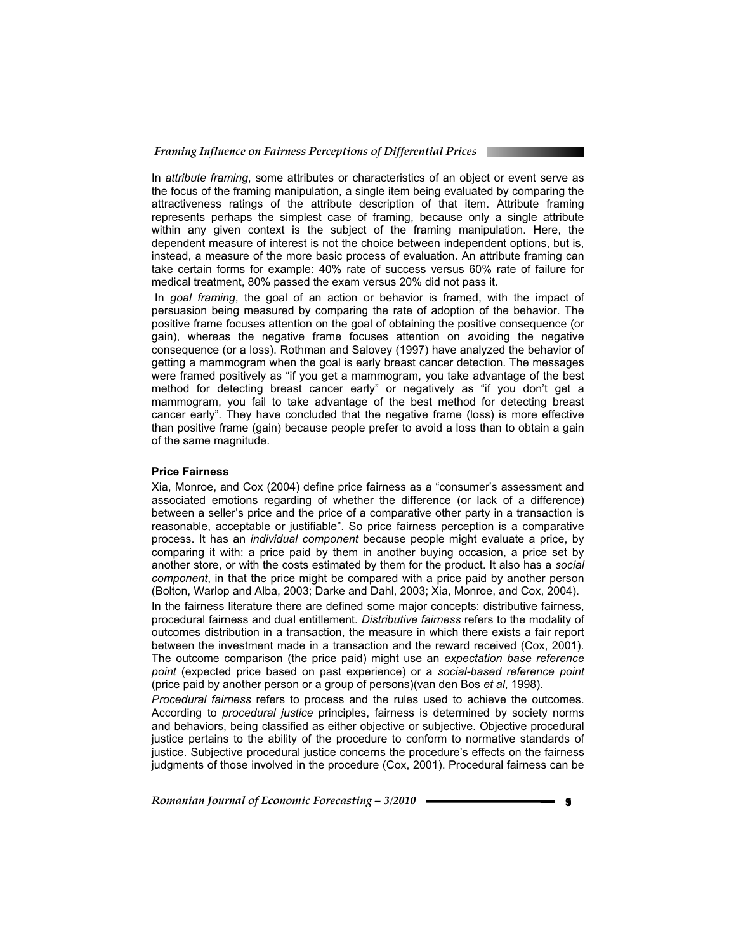In *attribute framing*, some attributes or characteristics of an object or event serve as the focus of the framing manipulation, a single item being evaluated by comparing the attractiveness ratings of the attribute description of that item. Attribute framing represents perhaps the simplest case of framing, because only a single attribute within any given context is the subject of the framing manipulation. Here, the dependent measure of interest is not the choice between independent options, but is, instead, a measure of the more basic process of evaluation. An attribute framing can take certain forms for example: 40% rate of success versus 60% rate of failure for medical treatment, 80% passed the exam versus 20% did not pass it.

 In *goal framing*, the goal of an action or behavior is framed, with the impact of persuasion being measured by comparing the rate of adoption of the behavior. The positive frame focuses attention on the goal of obtaining the positive consequence (or gain), whereas the negative frame focuses attention on avoiding the negative consequence (or a loss). Rothman and Salovey (1997) have analyzed the behavior of getting a mammogram when the goal is early breast cancer detection. The messages were framed positively as "if you get a mammogram, you take advantage of the best method for detecting breast cancer early" or negatively as "if you don't get a mammogram, you fail to take advantage of the best method for detecting breast cancer early". They have concluded that the negative frame (loss) is more effective than positive frame (gain) because people prefer to avoid a loss than to obtain a gain of the same magnitude.

#### **Price Fairness**

Xia, Monroe, and Cox (2004) define price fairness as a "consumer's assessment and associated emotions regarding of whether the difference (or lack of a difference) between a seller's price and the price of a comparative other party in a transaction is reasonable, acceptable or justifiable". So price fairness perception is a comparative process. It has an *individual component* because people might evaluate a price, by comparing it with: a price paid by them in another buying occasion, a price set by another store, or with the costs estimated by them for the product. It also has a *social component*, in that the price might be compared with a price paid by another person (Bolton, Warlop and Alba, 2003; Darke and Dahl, 2003; Xia, Monroe, and Cox, 2004).

In the fairness literature there are defined some major concepts: distributive fairness, procedural fairness and dual entitlement. *Distributive fairness* refers to the modality of outcomes distribution in a transaction, the measure in which there exists a fair report between the investment made in a transaction and the reward received (Cox, 2001). The outcome comparison (the price paid) might use an *expectation base reference point* (expected price based on past experience) or a *social-based reference point* (price paid by another person or a group of persons)(van den Bos *et al*, 1998).

*Procedural fairness* refers to process and the rules used to achieve the outcomes. According to *procedural justice* principles, fairness is determined by society norms and behaviors, being classified as either objective or subjective. Objective procedural justice pertains to the ability of the procedure to conform to normative standards of justice. Subjective procedural justice concerns the procedure's effects on the fairness judgments of those involved in the procedure (Cox, 2001). Procedural fairness can be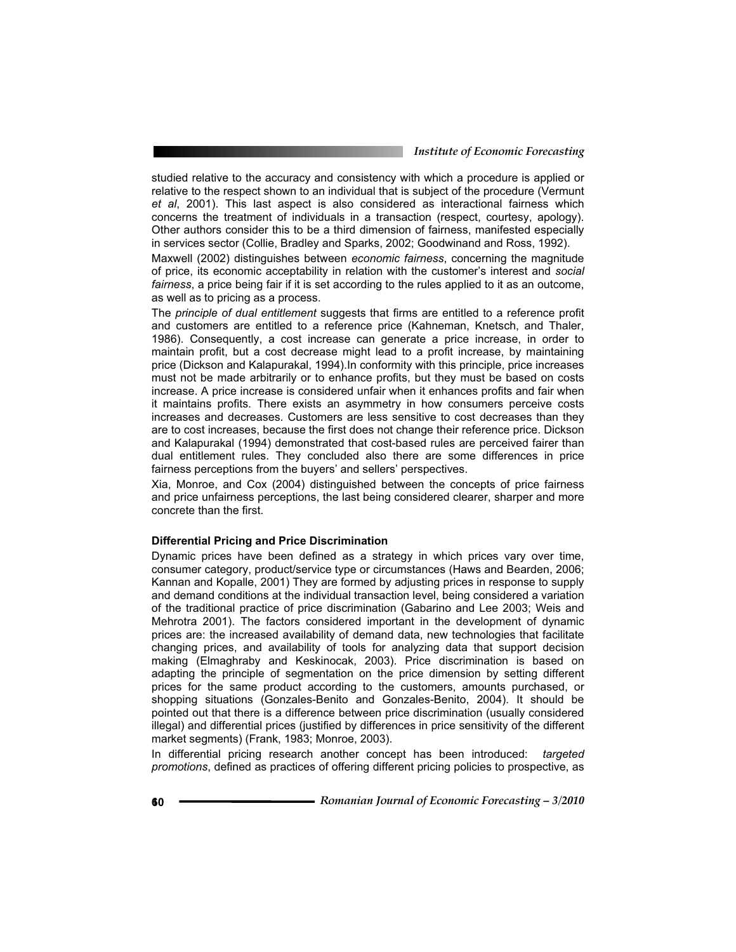studied relative to the accuracy and consistency with which a procedure is applied or relative to the respect shown to an individual that is subject of the procedure (Vermunt *et al*, 2001). This last aspect is also considered as interactional fairness which concerns the treatment of individuals in a transaction (respect, courtesy, apology). Other authors consider this to be a third dimension of fairness, manifested especially in services sector (Collie, Bradley and Sparks, 2002; Goodwinand and Ross, 1992).

Maxwell (2002) distinguishes between *economic fairness*, concerning the magnitude of price, its economic acceptability in relation with the customer's interest and *social fairness*, a price being fair if it is set according to the rules applied to it as an outcome, as well as to pricing as a process.

The *principle of dual entitlement* suggests that firms are entitled to a reference profit and customers are entitled to a reference price (Kahneman, Knetsch, and Thaler, 1986). Consequently, a cost increase can generate a price increase, in order to maintain profit, but a cost decrease might lead to a profit increase, by maintaining price (Dickson and Kalapurakal, 1994).In conformity with this principle, price increases must not be made arbitrarily or to enhance profits, but they must be based on costs increase. A price increase is considered unfair when it enhances profits and fair when it maintains profits. There exists an asymmetry in how consumers perceive costs increases and decreases. Customers are less sensitive to cost decreases than they are to cost increases, because the first does not change their reference price. Dickson and Kalapurakal (1994) demonstrated that cost-based rules are perceived fairer than dual entitlement rules. They concluded also there are some differences in price fairness perceptions from the buyers' and sellers' perspectives.

Xia, Monroe, and Cox (2004) distinguished between the concepts of price fairness and price unfairness perceptions, the last being considered clearer, sharper and more concrete than the first.

#### **Differential Pricing and Price Discrimination**

Dynamic prices have been defined as a strategy in which prices vary over time, consumer category, product/service type or circumstances (Haws and Bearden, 2006; Kannan and Kopalle, 2001) They are formed by adjusting prices in response to supply and demand conditions at the individual transaction level, being considered a variation of the traditional practice of price discrimination (Gabarino and Lee 2003; Weis and Mehrotra 2001). The factors considered important in the development of dynamic prices are: the increased availability of demand data, new technologies that facilitate changing prices, and availability of tools for analyzing data that support decision making (Elmaghraby and Keskinocak, 2003). Price discrimination is based on adapting the principle of segmentation on the price dimension by setting different prices for the same product according to the customers, amounts purchased, or shopping situations (Gonzales-Benito and Gonzales-Benito, 2004). It should be pointed out that there is a difference between price discrimination (usually considered illegal) and differential prices (justified by differences in price sensitivity of the different market segments) (Frank, 1983; Monroe, 2003).

In differential pricing research another concept has been introduced: *targeted promotions*, defined as practices of offering different pricing policies to prospective, as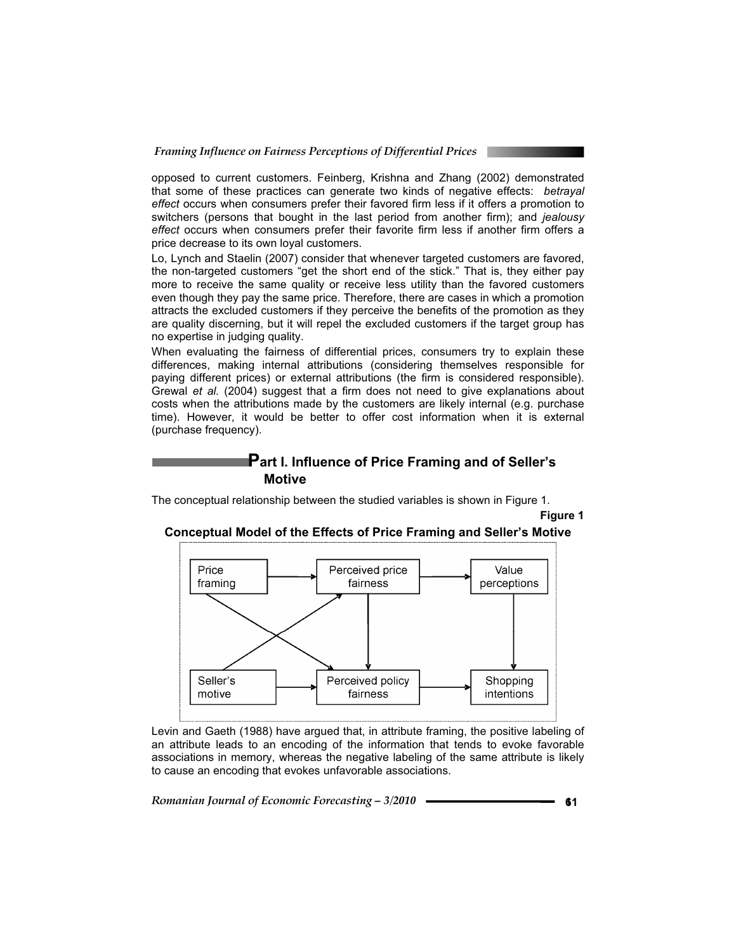opposed to current customers. Feinberg, Krishna and Zhang (2002) demonstrated that some of these practices can generate two kinds of negative effects: *betrayal effect* occurs when consumers prefer their favored firm less if it offers a promotion to switchers (persons that bought in the last period from another firm); and *jealousy effect* occurs when consumers prefer their favorite firm less if another firm offers a price decrease to its own loyal customers.

Lo, Lynch and Staelin (2007) consider that whenever targeted customers are favored, the non-targeted customers "get the short end of the stick." That is, they either pay more to receive the same quality or receive less utility than the favored customers even though they pay the same price. Therefore, there are cases in which a promotion attracts the excluded customers if they perceive the benefits of the promotion as they are quality discerning, but it will repel the excluded customers if the target group has no expertise in judging quality.

When evaluating the fairness of differential prices, consumers try to explain these differences, making internal attributions (considering themselves responsible for paying different prices) or external attributions (the firm is considered responsible). Grewal *et al.* (2004) suggest that a firm does not need to give explanations about costs when the attributions made by the customers are likely internal (e.g. purchase time). However, it would be better to offer cost information when it is external (purchase frequency).

# **Part I. Influence of Price Framing and of Seller's Motive**

The conceptual relationship between the studied variables is shown in Figure 1.

**Figure 1** 





Levin and Gaeth (1988) have argued that, in attribute framing, the positive labeling of an attribute leads to an encoding of the information that tends to evoke favorable associations in memory, whereas the negative labeling of the same attribute is likely to cause an encoding that evokes unfavorable associations.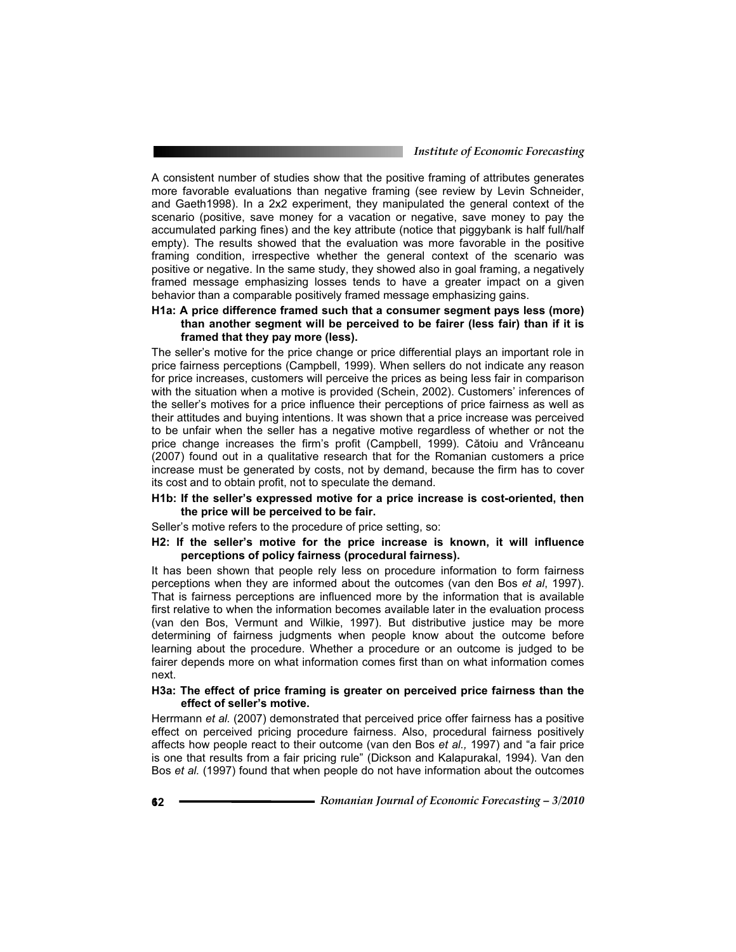A consistent number of studies show that the positive framing of attributes generates more favorable evaluations than negative framing (see review by Levin Schneider, and Gaeth1998). In a 2x2 experiment, they manipulated the general context of the scenario (positive, save money for a vacation or negative, save money to pay the accumulated parking fines) and the key attribute (notice that piggybank is half full/half empty). The results showed that the evaluation was more favorable in the positive framing condition, irrespective whether the general context of the scenario was positive or negative. In the same study, they showed also in goal framing, a negatively framed message emphasizing losses tends to have a greater impact on a given behavior than a comparable positively framed message emphasizing gains.

# **H1a: A price difference framed such that a consumer segment pays less (more) than another segment will be perceived to be fairer (less fair) than if it is framed that they pay more (less).**

The seller's motive for the price change or price differential plays an important role in price fairness perceptions (Campbell, 1999). When sellers do not indicate any reason for price increases, customers will perceive the prices as being less fair in comparison with the situation when a motive is provided (Schein, 2002). Customers' inferences of the seller's motives for a price influence their perceptions of price fairness as well as their attitudes and buying intentions. It was shown that a price increase was perceived to be unfair when the seller has a negative motive regardless of whether or not the price change increases the firm's profit (Campbell, 1999). Cătoiu and Vrânceanu (2007) found out in a qualitative research that for the Romanian customers a price increase must be generated by costs, not by demand, because the firm has to cover its cost and to obtain profit, not to speculate the demand.

## **H1b: If the seller's expressed motive for a price increase is cost-oriented, then the price will be perceived to be fair.**

Seller's motive refers to the procedure of price setting, so:

# **H2: If the seller's motive for the price increase is known, it will influence perceptions of policy fairness (procedural fairness).**

It has been shown that people rely less on procedure information to form fairness perceptions when they are informed about the outcomes (van den Bos *et al*, 1997). That is fairness perceptions are influenced more by the information that is available first relative to when the information becomes available later in the evaluation process (van den Bos, Vermunt and Wilkie, 1997). But distributive justice may be more determining of fairness judgments when people know about the outcome before learning about the procedure. Whether a procedure or an outcome is judged to be fairer depends more on what information comes first than on what information comes next.

## **H3a: The effect of price framing is greater on perceived price fairness than the effect of seller's motive.**

Herrmann *et al.* (2007) demonstrated that perceived price offer fairness has a positive effect on perceived pricing procedure fairness. Also, procedural fairness positively affects how people react to their outcome (van den Bos *et al.,* 1997) and "a fair price is one that results from a fair pricing rule" (Dickson and Kalapurakal, 1994). Van den Bos *et al.* (1997) found that when people do not have information about the outcomes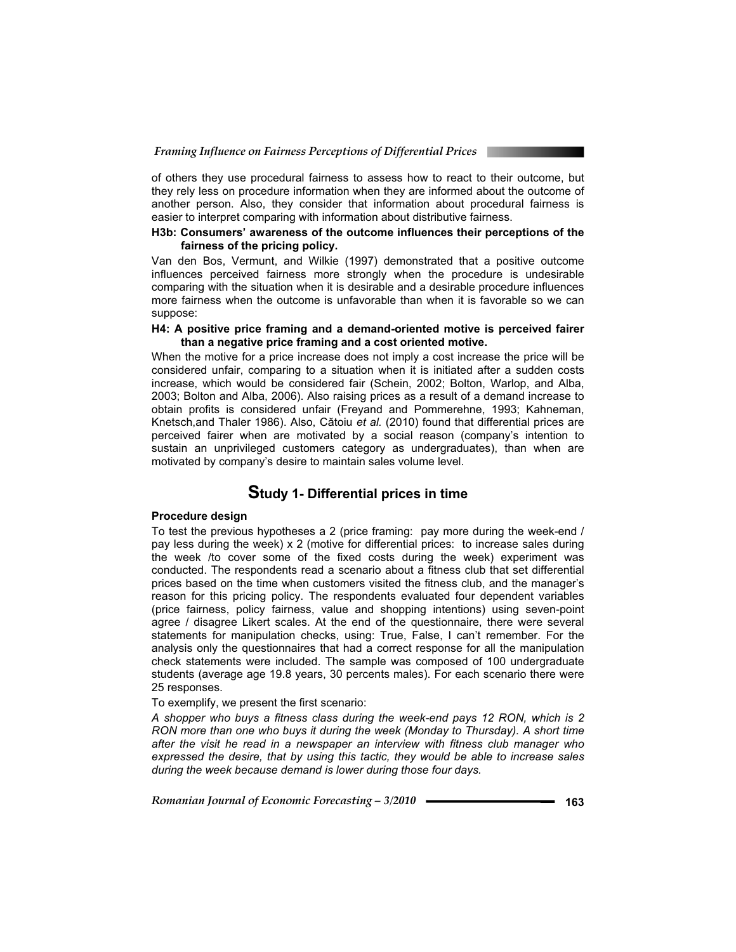of others they use procedural fairness to assess how to react to their outcome, but they rely less on procedure information when they are informed about the outcome of another person. Also, they consider that information about procedural fairness is easier to interpret comparing with information about distributive fairness.

# **H3b: Consumers' awareness of the outcome influences their perceptions of the fairness of the pricing policy.**

Van den Bos, Vermunt, and Wilkie (1997) demonstrated that a positive outcome influences perceived fairness more strongly when the procedure is undesirable comparing with the situation when it is desirable and a desirable procedure influences more fairness when the outcome is unfavorable than when it is favorable so we can suppose:

## **H4: A positive price framing and a demand-oriented motive is perceived fairer than a negative price framing and a cost oriented motive.**

When the motive for a price increase does not imply a cost increase the price will be considered unfair, comparing to a situation when it is initiated after a sudden costs increase, which would be considered fair (Schein, 2002; Bolton, Warlop, and Alba, 2003; Bolton and Alba, 2006). Also raising prices as a result of a demand increase to obtain profits is considered unfair (Freyand and Pommerehne, 1993; Kahneman, Knetsch,and Thaler 1986). Also, Cătoiu *et al.* (2010) found that differential prices are perceived fairer when are motivated by a social reason (company's intention to sustain an unprivileged customers category as undergraduates), than when are motivated by company's desire to maintain sales volume level.

# **Study 1- Differential prices in time**

# **Procedure design**

To test the previous hypotheses a 2 (price framing: pay more during the week-end / pay less during the week) x 2 (motive for differential prices: to increase sales during the week /to cover some of the fixed costs during the week) experiment was conducted. The respondents read a scenario about a fitness club that set differential prices based on the time when customers visited the fitness club, and the manager's reason for this pricing policy. The respondents evaluated four dependent variables (price fairness, policy fairness, value and shopping intentions) using seven-point agree / disagree Likert scales. At the end of the questionnaire, there were several statements for manipulation checks, using: True, False, I can't remember. For the analysis only the questionnaires that had a correct response for all the manipulation check statements were included. The sample was composed of 100 undergraduate students (average age 19.8 years, 30 percents males). For each scenario there were 25 responses.

To exemplify, we present the first scenario:

*A shopper who buys a fitness class during the week-end pays 12 RON, which is 2 RON more than one who buys it during the week (Monday to Thursday). A short time after the visit he read in a newspaper an interview with fitness club manager who expressed the desire, that by using this tactic, they would be able to increase sales during the week because demand is lower during those four days.*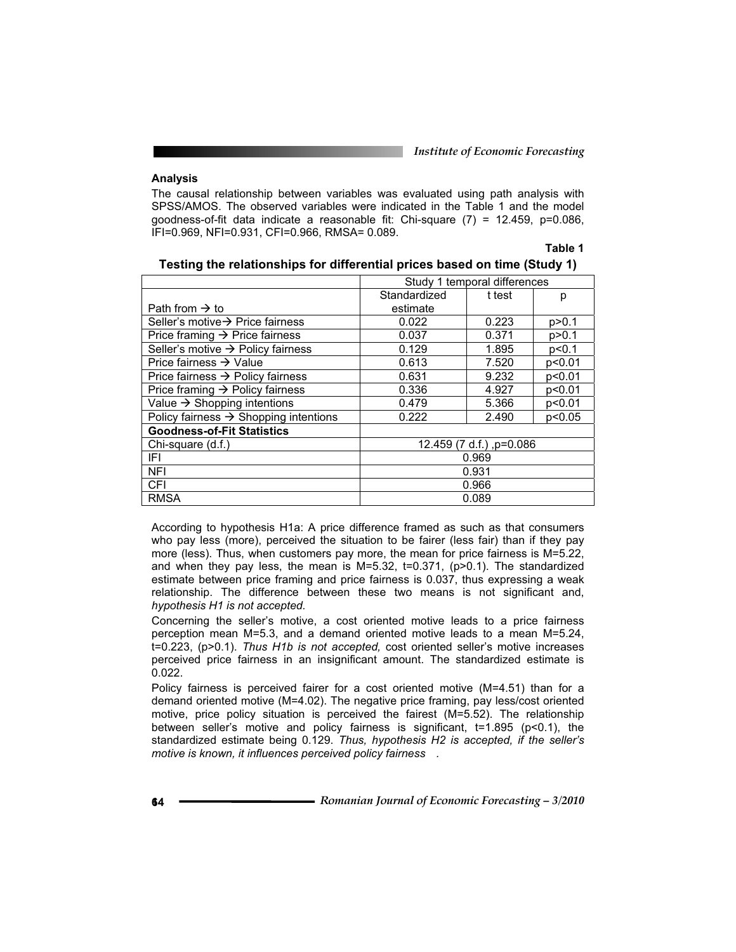**Table 1**

# **Analysis**

The causal relationship between variables was evaluated using path analysis with SPSS/AMOS. The observed variables were indicated in the Table 1 and the model goodness-of-fit data indicate a reasonable fit: Chi-square (7) = 12.459, p=0.086, IFI=0.969, NFI=0.931, CFI=0.966, RMSA= 0.089.

|                                                   | Study 1 temporal differences |        |         |
|---------------------------------------------------|------------------------------|--------|---------|
|                                                   | Standardized                 | t test | р       |
| Path from $\rightarrow$ to                        | estimate                     |        |         |
| Seller's motive $\rightarrow$ Price fairness      | 0.022                        | 0.223  | p > 0.1 |
| Price framing $\rightarrow$ Price fairness        | 0.037                        | 0.371  | p > 0.1 |
| Seller's motive $\rightarrow$ Policy fairness     | 0.129                        | 1.895  | p<0.1   |
| Price fairness $\rightarrow$ Value                | 0.613                        | 7.520  | p<0.01  |
| Price fairness $\rightarrow$ Policy fairness      | 0.631                        | 9.232  | p<0.01  |
| Price framing $\rightarrow$ Policy fairness       | 0.336                        | 4.927  | p<0.01  |
| Value $\rightarrow$ Shopping intentions           | 0.479                        | 5.366  | p<0.01  |
| Policy fairness $\rightarrow$ Shopping intentions | 0.222                        | 2.490  | p<0.05  |
| <b>Goodness-of-Fit Statistics</b>                 |                              |        |         |
| Chi-square (d.f.)                                 | 12.459 (7 d.f.), p=0.086     |        |         |
| IFL                                               | 0.969                        |        |         |
| <b>NFI</b>                                        | 0.931                        |        |         |
| <b>CFI</b>                                        | 0.966                        |        |         |
| <b>RMSA</b>                                       | 0.089                        |        |         |

| Testing the relationships for differential prices based on time (Study 1) |  |  |  |
|---------------------------------------------------------------------------|--|--|--|
|---------------------------------------------------------------------------|--|--|--|

According to hypothesis H1a: A price difference framed as such as that consumers who pay less (more), perceived the situation to be fairer (less fair) than if they pay more (less). Thus, when customers pay more, the mean for price fairness is M=5.22, and when they pay less, the mean is M=5.32, t=0.371, (p>0.1). The standardized estimate between price framing and price fairness is 0.037, thus expressing a weak relationship. The difference between these two means is not significant and, *hypothesis H1 is not accepted.*

Concerning the seller's motive, a cost oriented motive leads to a price fairness perception mean M=5.3, and a demand oriented motive leads to a mean M=5.24, t=0.223, (p>0.1). *Thus H1b is not accepted,* cost oriented seller's motive increases perceived price fairness in an insignificant amount. The standardized estimate is 0.022.

Policy fairness is perceived fairer for a cost oriented motive (M=4.51) than for a demand oriented motive (M=4.02). The negative price framing, pay less/cost oriented motive, price policy situation is perceived the fairest (M=5.52). The relationship between seller's motive and policy fairness is significant, t=1.895 (p<0.1), the standardized estimate being 0.129. *Thus, hypothesis H2 is accepted, if the seller's motive is known, it influences perceived policy fairness .*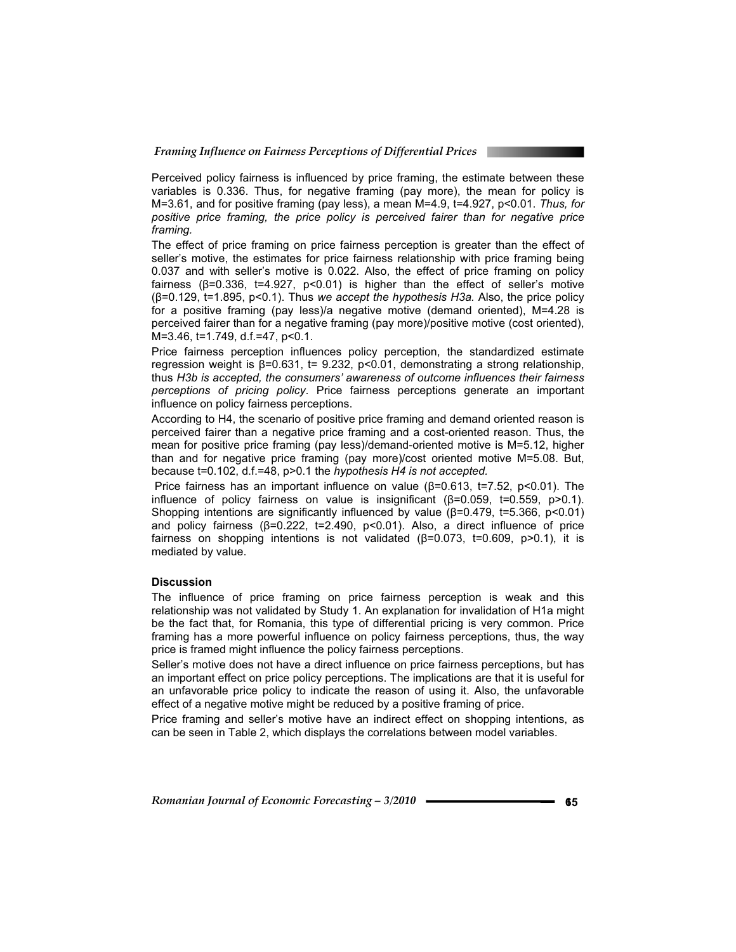Perceived policy fairness is influenced by price framing, the estimate between these variables is 0.336. Thus, for negative framing (pay more), the mean for policy is M=3.61, and for positive framing (pay less), a mean M=4.9, t=4.927, p<0.01. *Thus, for positive price framing, the price policy is perceived fairer than for negative price framing.*

The effect of price framing on price fairness perception is greater than the effect of seller's motive, the estimates for price fairness relationship with price framing being 0.037 and with seller's motive is 0.022. Also, the effect of price framing on policy fairness ( $\beta$ =0.336, t=4.927, p<0.01) is higher than the effect of seller's motive (ȕ=0.129, t=1.895, p<0.1). Thus *we accept the hypothesis H3a.* Also, the price policy for a positive framing (pay less)/a negative motive (demand oriented), M=4.28 is perceived fairer than for a negative framing (pay more)/positive motive (cost oriented), M=3.46, t=1.749, d.f.=47, p<0.1.

Price fairness perception influences policy perception, the standardized estimate regression weight is  $\beta = 0.631$ , t= 9.232, p<0.01, demonstrating a strong relationship, thus *H3b is accepted, the consumers' awareness of outcome influences their fairness perceptions of pricing policy*. Price fairness perceptions generate an important influence on policy fairness perceptions.

According to H4, the scenario of positive price framing and demand oriented reason is perceived fairer than a negative price framing and a cost-oriented reason. Thus, the mean for positive price framing (pay less)/demand-oriented motive is M=5.12, higher than and for negative price framing (pay more)/cost oriented motive M=5.08. But, because t=0.102, d.f.=48, p>0.1 the *hypothesis H4 is not accepted.*

Price fairness has an important influence on value  $(\beta=0.613, t=7.52, p<0.01)$ . The influence of policy fairness on value is insignificant ( $\beta$ =0.059, t=0.559, p>0.1). Shopping intentions are significantly influenced by value  $(\beta=0.479, t=5.366, p<0.01)$ and policy fairness ( $\beta$ =0.222, t=2.490, p<0.01). Also, a direct influence of price fairness on shopping intentions is not validated  $(\beta=0.073, t=0.609, p>0.1)$ , it is mediated by value.

# **Discussion**

The influence of price framing on price fairness perception is weak and this relationship was not validated by Study 1. An explanation for invalidation of H1a might be the fact that, for Romania, this type of differential pricing is very common. Price framing has a more powerful influence on policy fairness perceptions, thus, the way price is framed might influence the policy fairness perceptions.

Seller's motive does not have a direct influence on price fairness perceptions, but has an important effect on price policy perceptions. The implications are that it is useful for an unfavorable price policy to indicate the reason of using it. Also, the unfavorable effect of a negative motive might be reduced by a positive framing of price.

Price framing and seller's motive have an indirect effect on shopping intentions, as can be seen in Table 2, which displays the correlations between model variables.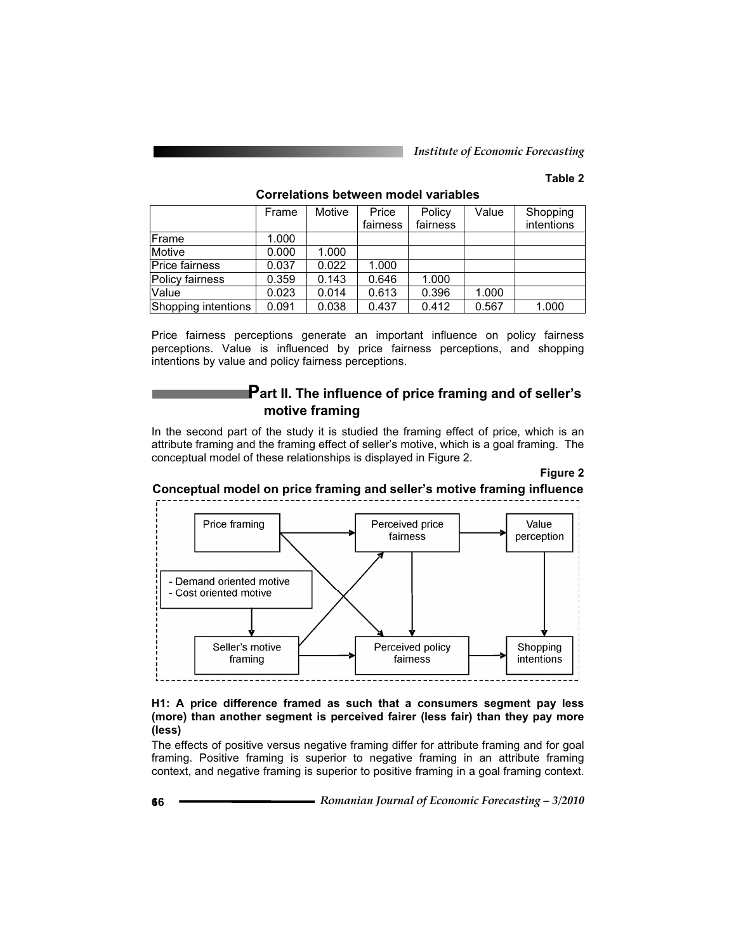# **Table 2**

|                     | Frame | Motive | Price<br>fairness | Policy<br>fairness | Value | Shopping<br>intentions |
|---------------------|-------|--------|-------------------|--------------------|-------|------------------------|
| Frame               | 1.000 |        |                   |                    |       |                        |
| Motive              | 0.000 | 1.000  |                   |                    |       |                        |
| Price fairness      | 0.037 | 0.022  | 1.000             |                    |       |                        |
| Policy fairness     | 0.359 | 0.143  | 0.646             | 1.000              |       |                        |
| <b>Value</b>        | 0.023 | 0.014  | 0.613             | 0.396              | 1.000 |                        |
| Shopping intentions | 0.091 | 0.038  | 0.437             | 0.412              | 0.567 | 1.000                  |

# **Correlations between model variables**

Price fairness perceptions generate an important influence on policy fairness perceptions. Value is influenced by price fairness perceptions, and shopping intentions by value and policy fairness perceptions.

# **Part II. The influence of price framing and of seller's motive framing**

In the second part of the study it is studied the framing effect of price, which is an attribute framing and the framing effect of seller's motive, which is a goal framing. The conceptual model of these relationships is displayed in Figure 2.

#### **Figure 2**

**Conceptual model on price framing and seller's motive framing influence** 



# **H1: A price difference framed as such that a consumers segment pay less (more) than another segment is perceived fairer (less fair) than they pay more (less)**

The effects of positive versus negative framing differ for attribute framing and for goal framing. Positive framing is superior to negative framing in an attribute framing context, and negative framing is superior to positive framing in a goal framing context.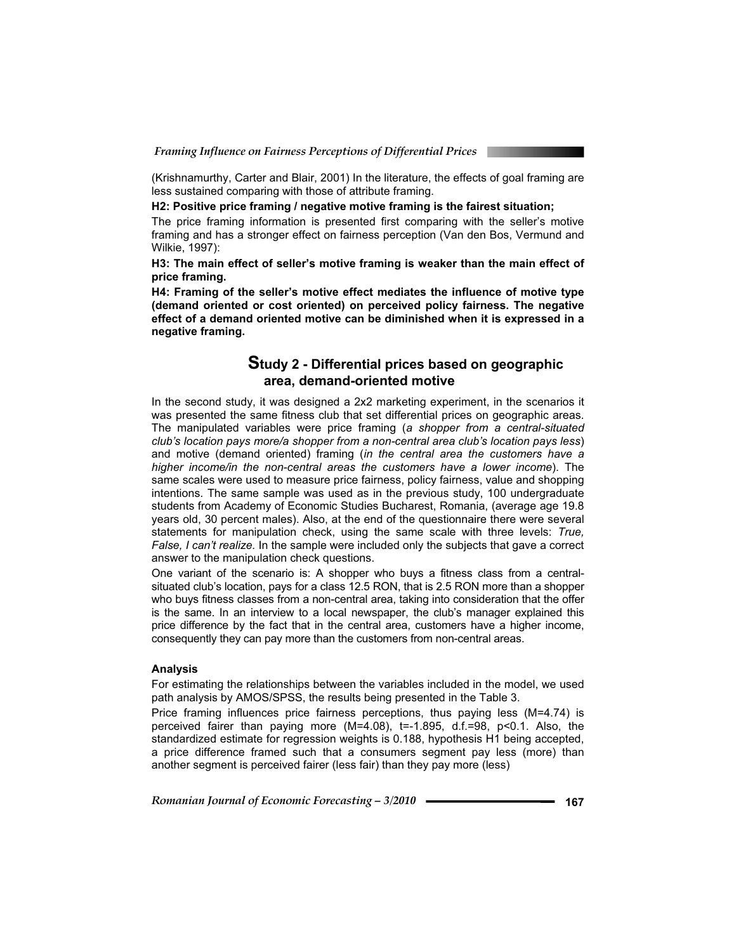(Krishnamurthy, Carter and Blair, 2001) In the literature, the effects of goal framing are less sustained comparing with those of attribute framing.

**H2: Positive price framing / negative motive framing is the fairest situation;** 

The price framing information is presented first comparing with the seller's motive framing and has a stronger effect on fairness perception (Van den Bos, Vermund and Wilkie, 1997):

**H3: The main effect of seller's motive framing is weaker than the main effect of price framing.** 

**H4: Framing of the seller's motive effect mediates the influence of motive type (demand oriented or cost oriented) on perceived policy fairness. The negative effect of a demand oriented motive can be diminished when it is expressed in a negative framing.** 

# **Study 2 - Differential prices based on geographic area, demand-oriented motive**

In the second study, it was designed a 2x2 marketing experiment, in the scenarios it was presented the same fitness club that set differential prices on geographic areas. The manipulated variables were price framing (*a shopper from a central-situated club's location pays more/a shopper from a non-central area club's location pays less*) and motive (demand oriented) framing (*in the central area the customers have a higher income/in the non-central areas the customers have a lower income*). The same scales were used to measure price fairness, policy fairness, value and shopping intentions. The same sample was used as in the previous study, 100 undergraduate students from Academy of Economic Studies Bucharest, Romania, (average age 19.8 years old, 30 percent males). Also, at the end of the questionnaire there were several statements for manipulation check, using the same scale with three levels: *True, False, I can't realize.* In the sample were included only the subjects that gave a correct answer to the manipulation check questions.

One variant of the scenario is: A shopper who buys a fitness class from a centralsituated club's location, pays for a class 12.5 RON, that is 2.5 RON more than a shopper who buys fitness classes from a non-central area, taking into consideration that the offer is the same. In an interview to a local newspaper, the club's manager explained this price difference by the fact that in the central area, customers have a higher income, consequently they can pay more than the customers from non-central areas.

### **Analysis**

For estimating the relationships between the variables included in the model, we used path analysis by AMOS/SPSS, the results being presented in the Table 3.

Price framing influences price fairness perceptions, thus paying less (M=4.74) is perceived fairer than paying more (M=4.08), t=-1.895, d.f.=98, p<0.1. Also, the standardized estimate for regression weights is 0.188, hypothesis H1 being accepted, a price difference framed such that a consumers segment pay less (more) than another segment is perceived fairer (less fair) than they pay more (less)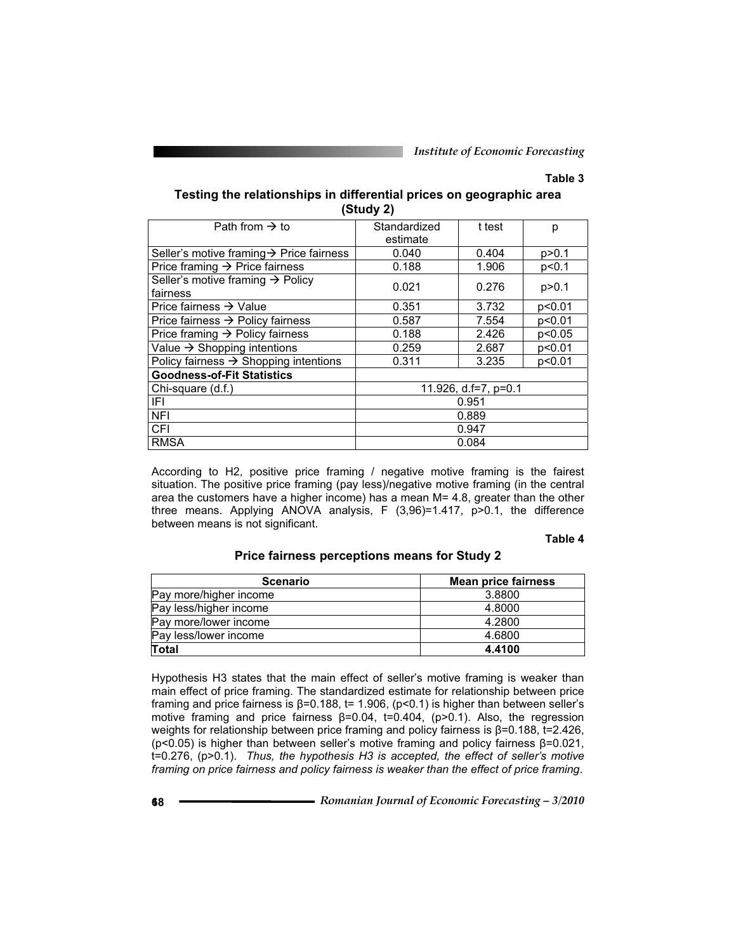# **Table 3**

# **Testing the relationships in differential prices on geographic area (Study 2)**

| Path from $\rightarrow$ to                               | Standardized<br>estimate | t test | р       |
|----------------------------------------------------------|--------------------------|--------|---------|
| Seller's motive framing → Price fairness                 | 0.040                    | 0.404  | p > 0.1 |
| Price framing $\rightarrow$ Price fairness               | 0.188                    | 1.906  | p<0.1   |
| Seller's motive framing $\rightarrow$ Policy<br>fairness | 0.021                    | 0.276  | p > 0.1 |
| Price fairness $\rightarrow$ Value                       | 0.351                    | 3.732  | p<0.01  |
| Price fairness $\rightarrow$ Policy fairness             | 0.587                    | 7.554  | p<0.01  |
| Price framing $\rightarrow$ Policy fairness              | 0.188                    | 2.426  | p<0.05  |
| Value $\rightarrow$ Shopping intentions                  | 0.259                    | 2.687  | p<0.01  |
| Policy fairness $\rightarrow$ Shopping intentions        | 0.311                    | 3.235  | p<0.01  |
| <b>Goodness-of-Fit Statistics</b>                        |                          |        |         |
| Chi-square (d.f.)                                        | 11.926, d.f=7, p=0.1     |        |         |
| IFL                                                      | 0.951                    |        |         |
| <b>NFI</b>                                               | 0.889                    |        |         |
| <b>CFI</b>                                               | 0.947                    |        |         |
| <b>RMSA</b>                                              | 0.084                    |        |         |

According to H2, positive price framing / negative motive framing is the fairest situation. The positive price framing (pay less)/negative motive framing (in the central area the customers have a higher income) has a mean M= 4.8, greater than the other three means. Applying ANOVA analysis, F (3,96)=1.417, p>0.1, the difference between means is not significant.

#### **Table 4**

# **Price fairness perceptions means for Study 2**

| <b>Scenario</b>        | <b>Mean price fairness</b> |
|------------------------|----------------------------|
| Pay more/higher income | 3.8800                     |
| Pay less/higher income | 4.8000                     |
| Pay more/lower income  | 4.2800                     |
| Pay less/lower income  | 4.6800                     |
| Total                  | 4.4100                     |

Hypothesis H3 states that the main effect of seller's motive framing is weaker than main effect of price framing. The standardized estimate for relationship between price framing and price fairness is  $\beta$ =0.188, t= 1.906, (p<0.1) is higher than between seller's motive framing and price fairness  $\beta = 0.04$ ,  $\pm 0.404$ , (p>0.1). Also, the regression weights for relationship between price framing and policy fairness is  $\beta$ =0.188, t=2.426, ( $p$ <0.05) is higher than between seller's motive framing and policy fairness  $\beta$ =0.021, t=0.276, (p>0.1). *Thus, the hypothesis H3 is accepted, the effect of seller's motive framing on price fairness and policy fairness is weaker than the effect of price framing*.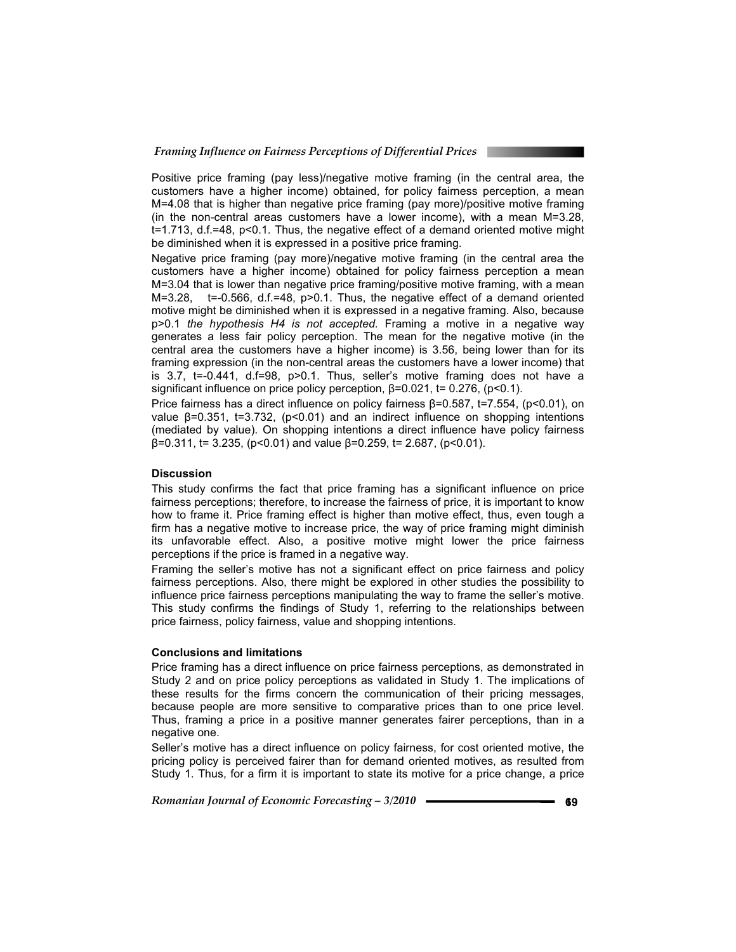Positive price framing (pay less)/negative motive framing (in the central area, the customers have a higher income) obtained, for policy fairness perception, a mean M=4.08 that is higher than negative price framing (pay more)/positive motive framing (in the non-central areas customers have a lower income), with a mean M=3.28, t=1.713, d.f.=48, p<0.1. Thus, the negative effect of a demand oriented motive might be diminished when it is expressed in a positive price framing.

Negative price framing (pay more)/negative motive framing (in the central area the customers have a higher income) obtained for policy fairness perception a mean M=3.04 that is lower than negative price framing/positive motive framing, with a mean M=3.28, t=-0.566, d.f.=48, p>0.1. Thus, the negative effect of a demand oriented motive might be diminished when it is expressed in a negative framing. Also, because p>0.1 *the hypothesis H4 is not accepted.* Framing a motive in a negative way generates a less fair policy perception. The mean for the negative motive (in the central area the customers have a higher income) is 3.56, being lower than for its framing expression (in the non-central areas the customers have a lower income) that is 3.7, t=-0.441, d.f=98, p>0.1. Thus, seller's motive framing does not have a significant influence on price policy perception,  $\beta$ =0.021, t= 0.276, (p<0.1).

Price fairness has a direct influence on policy fairness  $\beta$ =0.587, t=7.554, (p<0.01), on value  $\beta$ =0.351, t=3.732, (p<0.01) and an indirect influence on shopping intentions (mediated by value). On shopping intentions a direct influence have policy fairness  $\beta$ =0.311, t= 3.235, (p<0.01) and value  $\beta$ =0.259, t= 2.687, (p<0.01).

### **Discussion**

This study confirms the fact that price framing has a significant influence on price fairness perceptions; therefore, to increase the fairness of price, it is important to know how to frame it. Price framing effect is higher than motive effect, thus, even tough a firm has a negative motive to increase price, the way of price framing might diminish its unfavorable effect. Also, a positive motive might lower the price fairness perceptions if the price is framed in a negative way.

Framing the seller's motive has not a significant effect on price fairness and policy fairness perceptions. Also, there might be explored in other studies the possibility to influence price fairness perceptions manipulating the way to frame the seller's motive. This study confirms the findings of Study 1, referring to the relationships between price fairness, policy fairness, value and shopping intentions.

## **Conclusions and limitations**

Price framing has a direct influence on price fairness perceptions, as demonstrated in Study 2 and on price policy perceptions as validated in Study 1. The implications of these results for the firms concern the communication of their pricing messages, because people are more sensitive to comparative prices than to one price level. Thus, framing a price in a positive manner generates fairer perceptions, than in a negative one.

Seller's motive has a direct influence on policy fairness, for cost oriented motive, the pricing policy is perceived fairer than for demand oriented motives, as resulted from Study 1. Thus, for a firm it is important to state its motive for a price change, a price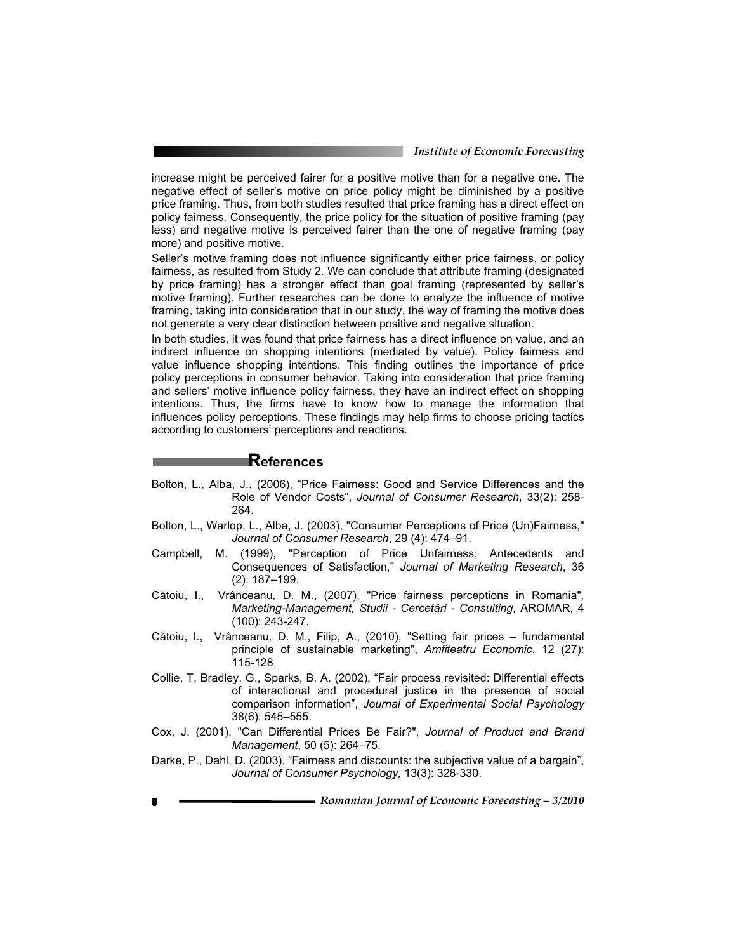increase might be perceived fairer for a positive motive than for a negative one. The negative effect of seller's motive on price policy might be diminished by a positive price framing. Thus, from both studies resulted that price framing has a direct effect on policy fairness. Consequently, the price policy for the situation of positive framing (pay less) and negative motive is perceived fairer than the one of negative framing (pay more) and positive motive.

Seller's motive framing does not influence significantly either price fairness, or policy fairness, as resulted from Study 2. We can conclude that attribute framing (designated by price framing) has a stronger effect than goal framing (represented by seller's motive framing). Further researches can be done to analyze the influence of motive framing, taking into consideration that in our study, the way of framing the motive does not generate a very clear distinction between positive and negative situation.

In both studies, it was found that price fairness has a direct influence on value, and an indirect influence on shopping intentions (mediated by value). Policy fairness and value influence shopping intentions. This finding outlines the importance of price policy perceptions in consumer behavior. Taking into consideration that price framing and sellers' motive influence policy fairness, they have an indirect effect on shopping intentions. Thus, the firms have to know how to manage the information that influences policy perceptions. These findings may help firms to choose pricing tactics according to customers' perceptions and reactions.

# **References**

- Bolton, L., Alba, J., (2006), "Price Fairness: Good and Service Differences and the Role of Vendor Costs", *Journal of Consumer Research*, 33(2): 258- 264.
- Bolton, L., Warlop, L., Alba, J. (2003), "Consumer Perceptions of Price (Un)Fairness," *Journal of Consumer Research*, 29 (4): 474–91.
- Campbell, M. (1999), "Perception of Price Unfairness: Antecedents and Consequences of Satisfaction," *Journal of Marketing Research*, 36 (2): 187–199.
- Cătoiu, I., Vrânceanu*,* D. M., (2007), "Price fairness perceptions in Romania"*, Marketing-Management, Studii - Cercetări - Consulting*, AROMAR, 4 (100): 243-247.
- Cătoiu, I., Vrânceanu*,* D. M., Filip, A., (2010), "Setting fair prices fundamental principle of sustainable marketing", *Amfiteatru Economic*, 12 (27): 115-128.
- Collie, T, Bradley, G., Sparks, B. A. (2002), "Fair process revisited: Differential effects of interactional and procedural justice in the presence of social comparison information", *Journal of Experimental Social Psychology* 38(6): 545–555.
- Cox, J. (2001), "Can Differential Prices Be Fair?", *Journal of Product and Brand Management*, 50 (5): 264–75.
- Darke, P., Dahl, D. (2003), "Fairness and discounts: the subjective value of a bargain", *Journal of Consumer Psychology,* 13(3): 328-330.
- **<sup>170</sup>** *Romanian Journal of Economic Forecasting 3/2010*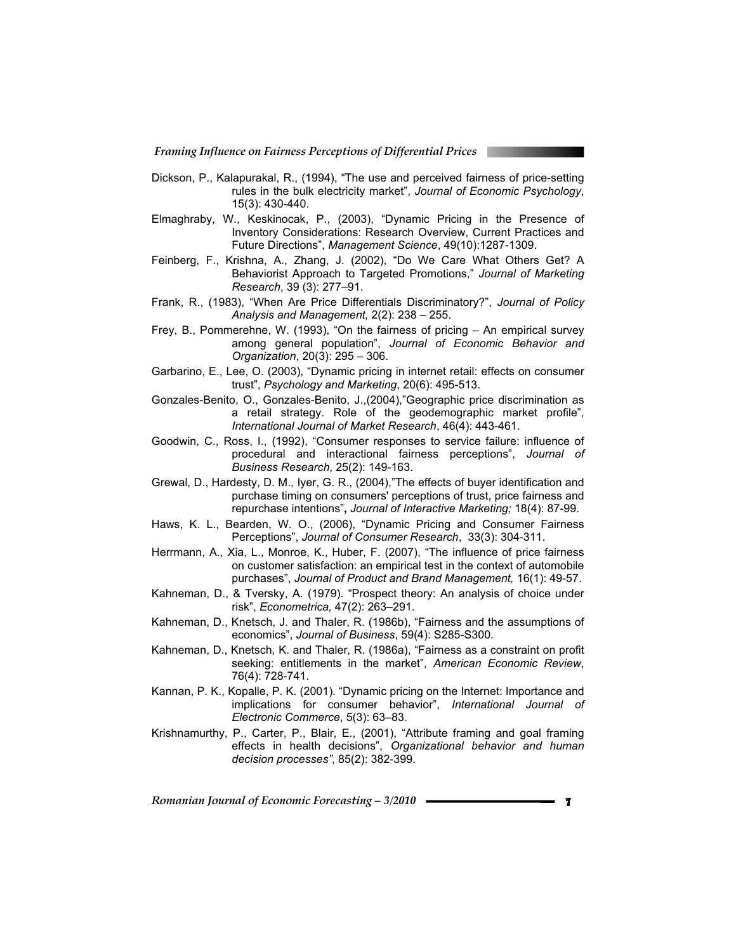- Dickson, P., Kalapurakal, R., (1994), "The use and perceived fairness of price-setting rules in the bulk electricity market", *Journal of Economic Psychology*, 15(3): 430-440.
- Elmaghraby, W., Keskinocak, P., (2003), "Dynamic Pricing in the Presence of Inventory Considerations: Research Overview, Current Practices and Future Directions", *Management Science*, 49(10):1287-1309.
- Feinberg, F., Krishna, A., Zhang, J. (2002), "Do We Care What Others Get? A Behaviorist Approach to Targeted Promotions," *Journal of Marketing Research*, 39 (3): 277–91.
- Frank, R., (1983), "When Are Price Differentials Discriminatory?", *Journal of Policy Analysis and Management,* 2(2): 238 – 255.
- Frey, B., Pommerehne, W. (1993), "On the fairness of pricing An empirical survey among general population", *Journal of Economic Behavior and Organization*, 20(3): 295 – 306.
- Garbarino, E., Lee, O. (2003), "Dynamic pricing in internet retail: effects on consumer trust", *Psychology and Marketing*, 20(6): 495-513.
- Gonzales-Benito, O., Gonzales-Benito, J.,(2004),"Geographic price discrimination as a retail strategy. Role of the geodemographic market profile", *International Journal of Market Research*, 46(4): 443-461.
- Goodwin, C., Ross, I., (1992), "Consumer responses to service failure: influence of procedural and interactional fairness perceptions", *Journal of Business Research*, 25(2): 149-163.
- Grewal, D., Hardesty, D. M., Iyer, G. R., (2004),"The effects of buyer identification and purchase timing on consumers' perceptions of trust, price fairness and repurchase intentions"**,** *Journal of Interactive Marketing;* 18(4): 87-99.
- Haws, K. L., Bearden, W. O., (2006), "Dynamic Pricing and Consumer Fairness Perceptions", *Journal of Consumer Research*, 33(3): 304-311.
- Herrmann, A., Xia, L., Monroe, K., Huber, F. (2007), "The influence of price fairness on customer satisfaction: an empirical test in the context of automobile purchases", *Journal of Product and Brand Management,* 16(1): 49-57.
- Kahneman, D., & Tversky, A. (1979). "Prospect theory: An analysis of choice under risk", *Econometrica,* 47(2): 263–291.
- Kahneman, D., Knetsch, J. and Thaler, R. (1986b), "Fairness and the assumptions of economics", *Journal of Business*, 59(4): S285-S300.
- Kahneman, D., Knetsch, K. and Thaler, R. (1986a), "Fairness as a constraint on profit seeking: entitlements in the market", *American Economic Review*, 76(4): 728-741.
- Kannan, P. K., Kopalle, P. K. (2001). "Dynamic pricing on the Internet: Importance and implications for consumer behavior", *International Journal of Electronic Commerce*, 5(3): 63–83.
- Krishnamurthy, P., Carter, P., Blair, E., (2001), "Attribute framing and goal framing effects in health decisions", *Organizational behavior and human decision processes"*, 85(2): 382-399.